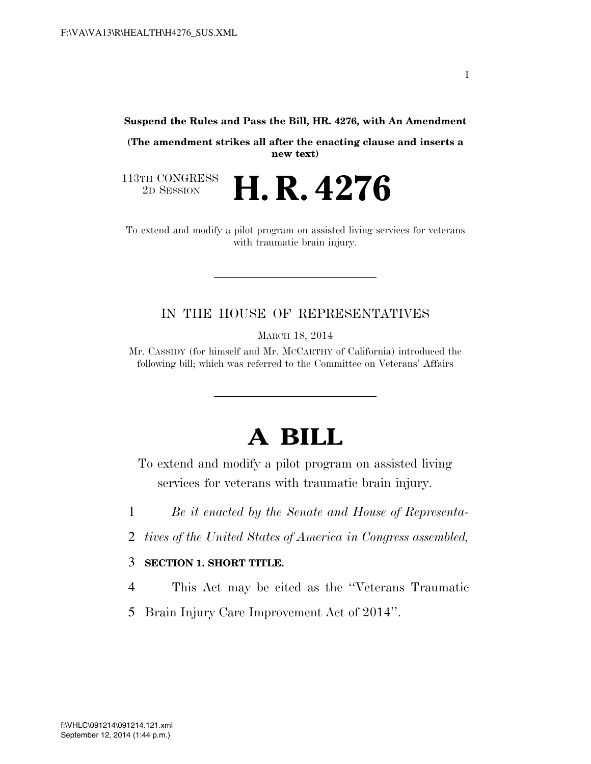**Suspend the Rules and Pass the Bill, HR. 4276, with An Amendment** 

**(The amendment strikes all after the enacting clause and inserts a new text)** 

2D SESSION **H. R. 4276** 

113TH CONGRESS<br>2D SESSION

To extend and modify a pilot program on assisted living services for veterans with traumatic brain injury.

## IN THE HOUSE OF REPRESENTATIVES

MARCH 18, 2014

Mr. CASSIDY (for himself and Mr. MCCARTHY of California) introduced the following bill; which was referred to the Committee on Veterans' Affairs

## **A BILL**

To extend and modify a pilot program on assisted living services for veterans with traumatic brain injury.

- 1 *Be it enacted by the Senate and House of Representa-*
- 2 *tives of the United States of America in Congress assembled,*

## 3 **SECTION 1. SHORT TITLE.**

- 4 This Act may be cited as the ''Veterans Traumatic
- 5 Brain Injury Care Improvement Act of 2014''.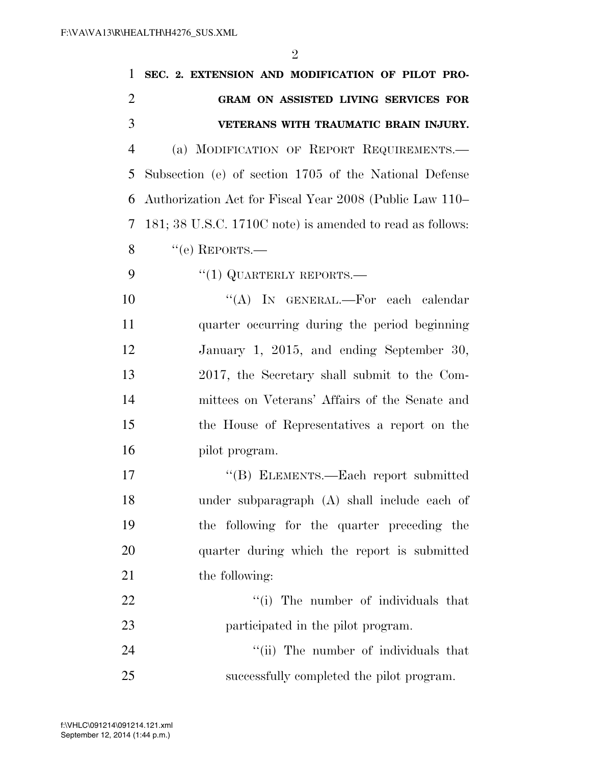| 1              | SEC. 2. EXTENSION AND MODIFICATION OF PILOT PRO-          |
|----------------|-----------------------------------------------------------|
| $\overline{2}$ | GRAM ON ASSISTED LIVING SERVICES FOR                      |
| 3              | VETERANS WITH TRAUMATIC BRAIN INJURY.                     |
| $\overline{4}$ | (a) MODIFICATION OF REPORT REQUIREMENTS.                  |
| 5              | Subsection (e) of section 1705 of the National Defense    |
| 6              | Authorization Act for Fiscal Year 2008 (Public Law 110–   |
| $\overline{7}$ | 181; 38 U.S.C. 1710C note) is amended to read as follows: |
| 8              | $``$ (e) REPORTS.—                                        |
| 9              | $``(1)$ QUARTERLY REPORTS.—                               |
| 10             | "(A) IN GENERAL.—For each calendar                        |
| 11             | quarter occurring during the period beginning             |
| 12             | January 1, 2015, and ending September 30,                 |
| 13             | 2017, the Secretary shall submit to the Com-              |
| 14             | mittees on Veterans' Affairs of the Senate and            |
| 15             | the House of Representatives a report on the              |
| 16             | pilot program.                                            |
| 17             | "(B) ELEMENTS.—Each report submitted                      |
| 18             | under subparagraph (A) shall include each of              |
| 19             | the following for the quarter preceding the               |
| 20             | quarter during which the report is submitted              |
| 21             | the following:                                            |
| 22             | "(i) The number of individuals that                       |
| 23             | participated in the pilot program.                        |
| 24             | "(ii) The number of individuals that                      |
| 25             | successfully completed the pilot program.                 |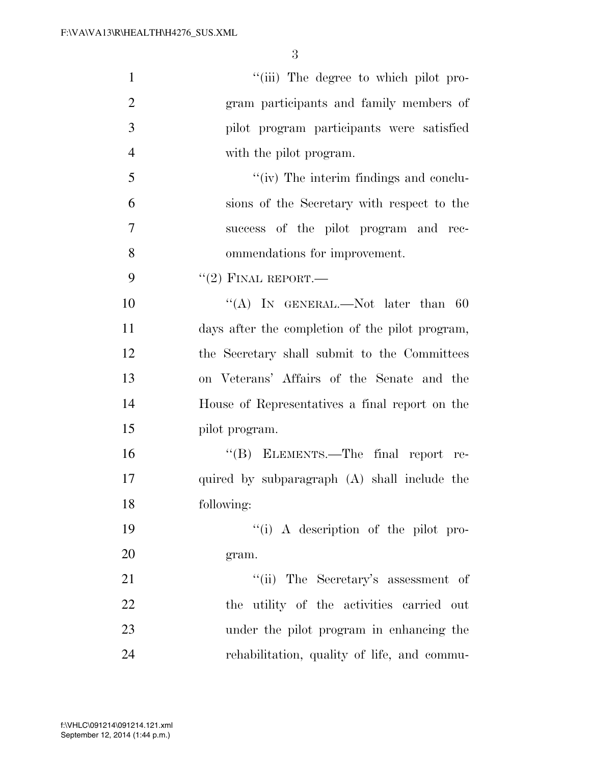| $\mathbf{1}$   | "(iii) The degree to which pilot pro-           |
|----------------|-------------------------------------------------|
| $\mathbf{2}$   | gram participants and family members of         |
| 3              | pilot program participants were satisfied       |
| $\overline{4}$ | with the pilot program.                         |
| 5              | "(iv) The interim findings and conclu-          |
| 6              | sions of the Secretary with respect to the      |
| 7              | success of the pilot program and rec-           |
| 8              | ommendations for improvement.                   |
| 9              | $``(2)$ FINAL REPORT.—                          |
| 10             | "(A) IN GENERAL.—Not later than $60$            |
| 11             | days after the completion of the pilot program, |
| 12             | the Secretary shall submit to the Committees    |
| 13             | on Veterans' Affairs of the Senate and the      |
| 14             | House of Representatives a final report on the  |
| 15             | pilot program.                                  |
| 16             | "(B) ELEMENTS.—The final report re-             |
| 17             | quired by subparagraph (A) shall include the    |
| 18             | following:                                      |
| 19             | "(i) A description of the pilot pro-            |
| 20             | gram.                                           |
| 21             | "(ii) The Secretary's assessment of             |
| 22             | the utility of the activities carried out       |
| 23             | under the pilot program in enhancing the        |
| 24             | rehabilitation, quality of life, and commu-     |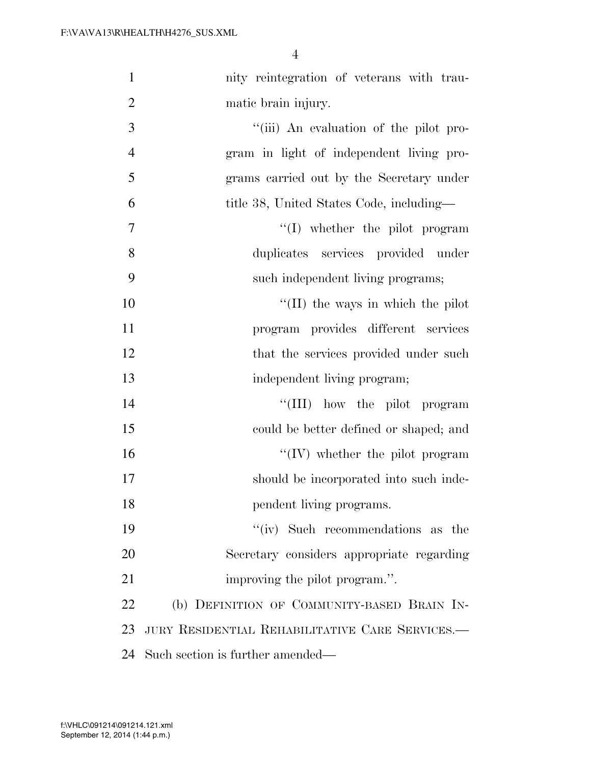| $\mathbf{1}$   | nity reintegration of veterans with trau-       |
|----------------|-------------------------------------------------|
| $\overline{2}$ | matic brain injury.                             |
| 3              | "(iii) An evaluation of the pilot pro-          |
| $\overline{4}$ | gram in light of independent living pro-        |
| 5              | grams carried out by the Secretary under        |
| 6              | title 38, United States Code, including—        |
| 7              | $\lq\lq$ whether the pilot program              |
| 8              | duplicates services provided under              |
| 9              | such independent living programs;               |
| 10             | $\lq\lq$ (II) the ways in which the pilot       |
| 11             | program provides different services             |
| 12             | that the services provided under such           |
| 13             | independent living program;                     |
| 14             | "(III) how the pilot program                    |
| 15             | could be better defined or shaped; and          |
| 16             | $\lq\lq (IV)$ whether the pilot program         |
| 17             | should be incorporated into such inde-          |
| 18             | pendent living programs.                        |
| 19             | "(iv) Such recommendations as the               |
| 20             | Secretary considers appropriate regarding       |
| 21             | improving the pilot program.".                  |
| 22             | (b) DEFINITION OF COMMUNITY-BASED BRAIN IN-     |
| 23             | JURY RESIDENTIAL REHABILITATIVE CARE SERVICES.- |
| 24             | Such section is further amended—                |